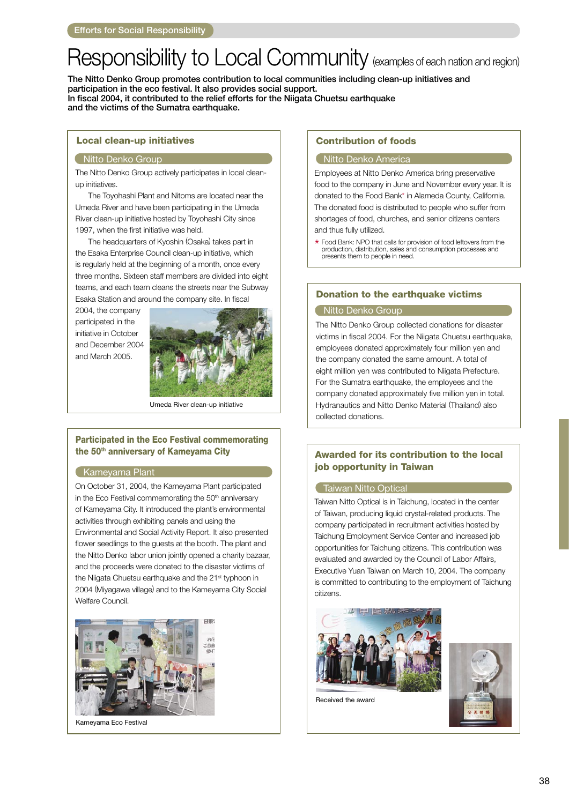# Responsibility to Local Community (examples of each nation and region)

The Nitto Denko Group promotes contribution to local communities including clean-up initiatives and participation in the eco festival. It also provides social support. In fiscal 2004, it contributed to the relief efforts for the Niigata Chuetsu earthquake and the victims of the Sumatra earthquake.

### Local clean-up initiatives

### **Mitto Denko Group Nitto Denko America**

The Nitto Denko Group actively participates in local cleanup initiatives.

 The Toyohashi Plant and Nitoms are located near the Umeda River and have been participating in the Umeda River clean-up initiative hosted by Toyohashi City since 1997, when the first initiative was held.

 The headquarters of Kyoshin (Osaka) takes part in the Esaka Enterprise Council clean-up initiative, which is regularly held at the beginning of a month, once every three months. Sixteen staff members are divided into eight teams, and each team cleans the streets near the Subway Esaka Station and around the company site. In fiscal

2004, the company participated in the initiative in October and December 2004 and March 2005.



Umeda River clean-up initiative

### Participated in the Eco Festival commemorating the 50<sup>th</sup> anniversary of Kameyama City

### Kamevama Plant

On October 31, 2004, the Kameyama Plant participated in the Eco Festival commemorating the 50<sup>th</sup> anniversary of Kameyama City. It introduced the plant's environmental activities through exhibiting panels and using the Environmental and Social Activity Report. It also presented flower seedlings to the guests at the booth. The plant and the Nitto Denko labor union jointly opened a charity bazaar, and the proceeds were donated to the disaster victims of the Niigata Chuetsu earthquake and the 21<sup>st</sup> typhoon in 2004 (Miyagawa village) and to the Kameyama City Social Welfare Council.



Kameyama Eco Festival

### Contribution of foods

Employees at Nitto Denko America bring preservative food to the company in June and November every year. It is donated to the Food Bank\* in Alameda County, California. The donated food is distributed to people who suffer from shortages of food, churches, and senior citizens centers and thus fully utilized.

\* Food Bank: NPO that calls for provision of food leftovers from the production, distribution, sales and consumption processes and presents them to people in need.

### Donation to the earthquake victims

### Nitto Denko Group

The Nitto Denko Group collected donations for disaster victims in fiscal 2004. For the Niigata Chuetsu earthquake, employees donated approximately four million yen and the company donated the same amount. A total of eight million yen was contributed to Niigata Prefecture. For the Sumatra earthquake, the employees and the company donated approximately five million yen in total. Hydranautics and Nitto Denko Material (Thailand) also collected donations.

### Awarded for its contribution to the local job opportunity in Taiwan

### Taiwan Nitto Optical

Taiwan Nitto Optical is in Taichung, located in the center of Taiwan, producing liquid crystal-related products. The company participated in recruitment activities hosted by Taichung Employment Service Center and increased job opportunities for Taichung citizens. This contribution was evaluated and awarded by the Council of Labor Affairs, Executive Yuan Taiwan on March 10, 2004. The company is committed to contributing to the employment of Taichung citizens.





Received the award